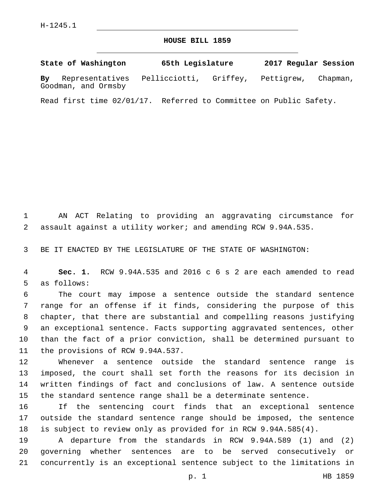## **HOUSE BILL 1859**

**State of Washington 65th Legislature 2017 Regular Session By** Representatives Pellicciotti, Griffey, Pettigrew, Chapman, Goodman, and Ormsby

Read first time 02/01/17. Referred to Committee on Public Safety.

 AN ACT Relating to providing an aggravating circumstance for assault against a utility worker; and amending RCW 9.94A.535.

BE IT ENACTED BY THE LEGISLATURE OF THE STATE OF WASHINGTON:

 **Sec. 1.** RCW 9.94A.535 and 2016 c 6 s 2 are each amended to read 5 as follows:

 The court may impose a sentence outside the standard sentence range for an offense if it finds, considering the purpose of this chapter, that there are substantial and compelling reasons justifying an exceptional sentence. Facts supporting aggravated sentences, other than the fact of a prior conviction, shall be determined pursuant to 11 the provisions of RCW 9.94A.537.

 Whenever a sentence outside the standard sentence range is imposed, the court shall set forth the reasons for its decision in written findings of fact and conclusions of law. A sentence outside the standard sentence range shall be a determinate sentence.

 If the sentencing court finds that an exceptional sentence outside the standard sentence range should be imposed, the sentence is subject to review only as provided for in RCW 9.94A.585(4).

 A departure from the standards in RCW 9.94A.589 (1) and (2) governing whether sentences are to be served consecutively or concurrently is an exceptional sentence subject to the limitations in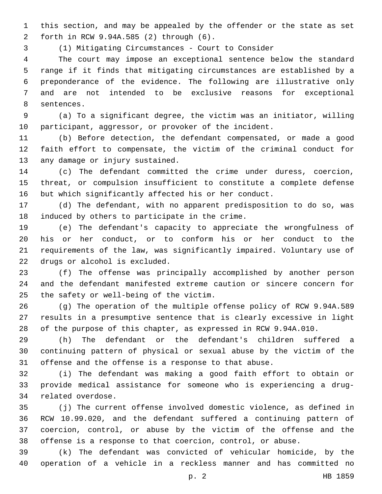this section, and may be appealed by the offender or the state as set forth in RCW 9.94A.585 (2) through (6).2

(1) Mitigating Circumstances - Court to Consider

 The court may impose an exceptional sentence below the standard range if it finds that mitigating circumstances are established by a preponderance of the evidence. The following are illustrative only and are not intended to be exclusive reasons for exceptional 8 sentences.

 (a) To a significant degree, the victim was an initiator, willing participant, aggressor, or provoker of the incident.

 (b) Before detection, the defendant compensated, or made a good faith effort to compensate, the victim of the criminal conduct for 13 any damage or injury sustained.

 (c) The defendant committed the crime under duress, coercion, threat, or compulsion insufficient to constitute a complete defense but which significantly affected his or her conduct.

 (d) The defendant, with no apparent predisposition to do so, was 18 induced by others to participate in the crime.

 (e) The defendant's capacity to appreciate the wrongfulness of his or her conduct, or to conform his or her conduct to the requirements of the law, was significantly impaired. Voluntary use of 22 drugs or alcohol is excluded.

 (f) The offense was principally accomplished by another person and the defendant manifested extreme caution or sincere concern for 25 the safety or well-being of the victim.

 (g) The operation of the multiple offense policy of RCW 9.94A.589 results in a presumptive sentence that is clearly excessive in light of the purpose of this chapter, as expressed in RCW 9.94A.010.

 (h) The defendant or the defendant's children suffered a continuing pattern of physical or sexual abuse by the victim of the offense and the offense is a response to that abuse.

 (i) The defendant was making a good faith effort to obtain or provide medical assistance for someone who is experiencing a drug-34 related overdose.

 (j) The current offense involved domestic violence, as defined in RCW 10.99.020, and the defendant suffered a continuing pattern of coercion, control, or abuse by the victim of the offense and the offense is a response to that coercion, control, or abuse.

 (k) The defendant was convicted of vehicular homicide, by the operation of a vehicle in a reckless manner and has committed no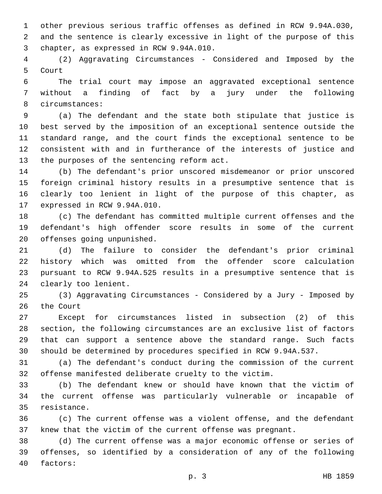other previous serious traffic offenses as defined in RCW 9.94A.030, and the sentence is clearly excessive in light of the purpose of this 3 chapter, as expressed in RCW 9.94A.010.

 (2) Aggravating Circumstances - Considered and Imposed by the 5 Court

 The trial court may impose an aggravated exceptional sentence without a finding of fact by a jury under the following 8 circumstances:

 (a) The defendant and the state both stipulate that justice is best served by the imposition of an exceptional sentence outside the standard range, and the court finds the exceptional sentence to be consistent with and in furtherance of the interests of justice and 13 the purposes of the sentencing reform act.

 (b) The defendant's prior unscored misdemeanor or prior unscored foreign criminal history results in a presumptive sentence that is clearly too lenient in light of the purpose of this chapter, as 17 expressed in RCW 9.94A.010.

 (c) The defendant has committed multiple current offenses and the defendant's high offender score results in some of the current 20 offenses going unpunished.

 (d) The failure to consider the defendant's prior criminal history which was omitted from the offender score calculation pursuant to RCW 9.94A.525 results in a presumptive sentence that is 24 clearly too lenient.

 (3) Aggravating Circumstances - Considered by a Jury - Imposed by 26 the Court

 Except for circumstances listed in subsection (2) of this section, the following circumstances are an exclusive list of factors that can support a sentence above the standard range. Such facts should be determined by procedures specified in RCW 9.94A.537.

 (a) The defendant's conduct during the commission of the current offense manifested deliberate cruelty to the victim.

 (b) The defendant knew or should have known that the victim of the current offense was particularly vulnerable or incapable of 35 resistance.

 (c) The current offense was a violent offense, and the defendant knew that the victim of the current offense was pregnant.

 (d) The current offense was a major economic offense or series of offenses, so identified by a consideration of any of the following 40 factors: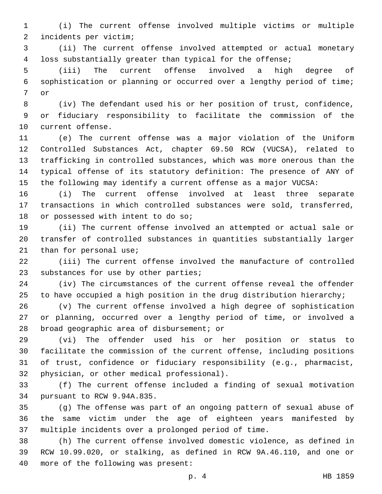(i) The current offense involved multiple victims or multiple incidents per victim;2

 (ii) The current offense involved attempted or actual monetary loss substantially greater than typical for the offense;

 (iii) The current offense involved a high degree of sophistication or planning or occurred over a lengthy period of time; 7 or

 (iv) The defendant used his or her position of trust, confidence, or fiduciary responsibility to facilitate the commission of the 10 current offense.

 (e) The current offense was a major violation of the Uniform Controlled Substances Act, chapter 69.50 RCW (VUCSA), related to trafficking in controlled substances, which was more onerous than the typical offense of its statutory definition: The presence of ANY of the following may identify a current offense as a major VUCSA:

 (i) The current offense involved at least three separate transactions in which controlled substances were sold, transferred, 18 or possessed with intent to do so;

 (ii) The current offense involved an attempted or actual sale or transfer of controlled substances in quantities substantially larger 21 than for personal use;

 (iii) The current offense involved the manufacture of controlled 23 substances for use by other parties;

 (iv) The circumstances of the current offense reveal the offender 25 to have occupied a high position in the drug distribution hierarchy;

 (v) The current offense involved a high degree of sophistication or planning, occurred over a lengthy period of time, or involved a 28 broad geographic area of disbursement; or

 (vi) The offender used his or her position or status to facilitate the commission of the current offense, including positions of trust, confidence or fiduciary responsibility (e.g., pharmacist, 32 physician, or other medical professional).

 (f) The current offense included a finding of sexual motivation 34 pursuant to RCW 9.94A.835.

 (g) The offense was part of an ongoing pattern of sexual abuse of the same victim under the age of eighteen years manifested by multiple incidents over a prolonged period of time.

 (h) The current offense involved domestic violence, as defined in RCW 10.99.020, or stalking, as defined in RCW 9A.46.110, and one or 40 more of the following was present: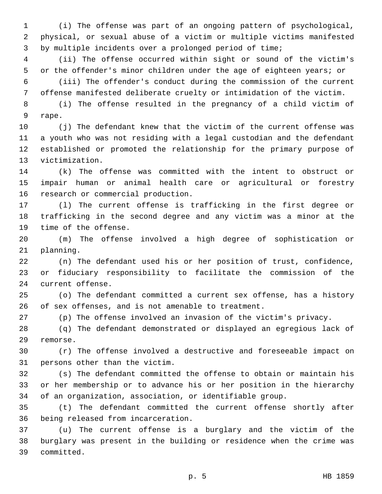(i) The offense was part of an ongoing pattern of psychological, physical, or sexual abuse of a victim or multiple victims manifested by multiple incidents over a prolonged period of time;

 (ii) The offense occurred within sight or sound of the victim's or the offender's minor children under the age of eighteen years; or

 (iii) The offender's conduct during the commission of the current offense manifested deliberate cruelty or intimidation of the victim.

 (i) The offense resulted in the pregnancy of a child victim of 9 rape.

 (j) The defendant knew that the victim of the current offense was a youth who was not residing with a legal custodian and the defendant established or promoted the relationship for the primary purpose of 13 victimization.

 (k) The offense was committed with the intent to obstruct or impair human or animal health care or agricultural or forestry 16 research or commercial production.

 (l) The current offense is trafficking in the first degree or trafficking in the second degree and any victim was a minor at the 19 time of the offense.

 (m) The offense involved a high degree of sophistication or 21 planning.

 (n) The defendant used his or her position of trust, confidence, or fiduciary responsibility to facilitate the commission of the 24 current offense.

 (o) The defendant committed a current sex offense, has a history of sex offenses, and is not amenable to treatment.

(p) The offense involved an invasion of the victim's privacy.

 (q) The defendant demonstrated or displayed an egregious lack of 29 remorse.

 (r) The offense involved a destructive and foreseeable impact on 31 persons other than the victim.

 (s) The defendant committed the offense to obtain or maintain his or her membership or to advance his or her position in the hierarchy of an organization, association, or identifiable group.

 (t) The defendant committed the current offense shortly after 36 being released from incarceration.

 (u) The current offense is a burglary and the victim of the burglary was present in the building or residence when the crime was 39 committed.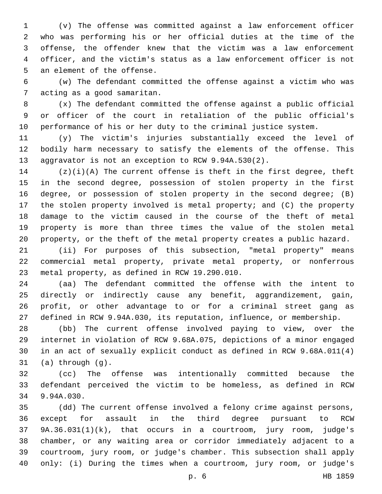(v) The offense was committed against a law enforcement officer who was performing his or her official duties at the time of the offense, the offender knew that the victim was a law enforcement officer, and the victim's status as a law enforcement officer is not 5 an element of the offense.

 (w) The defendant committed the offense against a victim who was 7 acting as a good samaritan.

 (x) The defendant committed the offense against a public official or officer of the court in retaliation of the public official's performance of his or her duty to the criminal justice system.

 (y) The victim's injuries substantially exceed the level of bodily harm necessary to satisfy the elements of the offense. This aggravator is not an exception to RCW 9.94A.530(2).

 (z)(i)(A) The current offense is theft in the first degree, theft in the second degree, possession of stolen property in the first degree, or possession of stolen property in the second degree; (B) the stolen property involved is metal property; and (C) the property damage to the victim caused in the course of the theft of metal property is more than three times the value of the stolen metal property, or the theft of the metal property creates a public hazard.

 (ii) For purposes of this subsection, "metal property" means commercial metal property, private metal property, or nonferrous 23 metal property, as defined in RCW 19.290.010.

 (aa) The defendant committed the offense with the intent to directly or indirectly cause any benefit, aggrandizement, gain, profit, or other advantage to or for a criminal street gang as defined in RCW 9.94A.030, its reputation, influence, or membership.

 (bb) The current offense involved paying to view, over the internet in violation of RCW 9.68A.075, depictions of a minor engaged in an act of sexually explicit conduct as defined in RCW 9.68A.011(4) (a) through  $(g)$ .

 (cc) The offense was intentionally committed because the defendant perceived the victim to be homeless, as defined in RCW 34 9.94A.030.

 (dd) The current offense involved a felony crime against persons, except for assault in the third degree pursuant to RCW 9A.36.031(1)(k), that occurs in a courtroom, jury room, judge's chamber, or any waiting area or corridor immediately adjacent to a courtroom, jury room, or judge's chamber. This subsection shall apply only: (i) During the times when a courtroom, jury room, or judge's